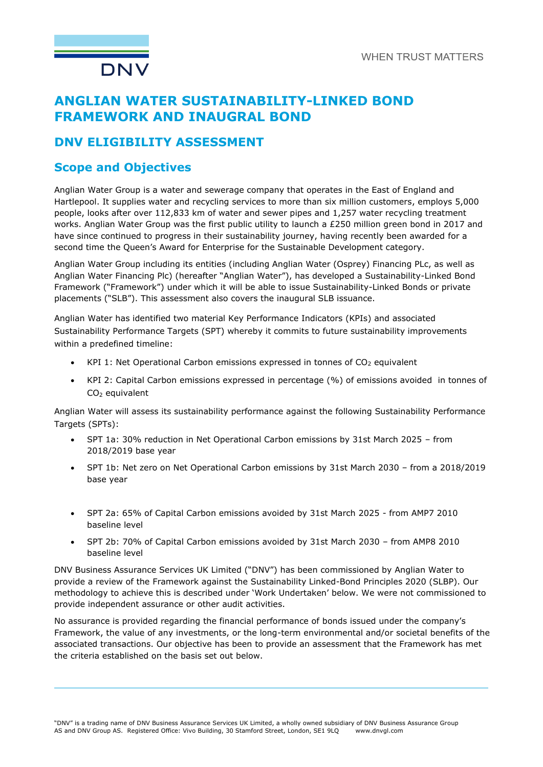

# **ANGLIAN WATER SUSTAINABILITY-LINKED BOND FRAMEWORK AND INAUGRAL BOND**

### **DNV ELIGIBILITY ASSESSMENT**

### **Scope and Objectives**

Anglian Water Group is a water and sewerage company that operates in the East of England and Hartlepool. It supplies water and recycling services to more than six million customers, employs 5,000 people, looks after over 112,833 km of water and sewer pipes and 1,257 water recycling treatment works. Anglian Water Group was the first public utility to launch a £250 million green bond in 2017 and have since continued to progress in their sustainability journey, having recently been awarded for a second time the Queen's Award for Enterprise for the Sustainable Development category.

Anglian Water Group including its entities (including Anglian Water (Osprey) Financing PLc, as well as Anglian Water Financing Plc) (hereafter "Anglian Water"), has developed a Sustainability-Linked Bond Framework ("Framework") under which it will be able to issue Sustainability-Linked Bonds or private placements ("SLB"). This assessment also covers the inaugural SLB issuance.

Anglian Water has identified two material Key Performance Indicators (KPIs) and associated Sustainability Performance Targets (SPT) whereby it commits to future sustainability improvements within a predefined timeline:

- $KPI$  1: Net Operational Carbon emissions expressed in tonnes of  $CO<sub>2</sub>$  equivalent
- KPI 2: Capital Carbon emissions expressed in percentage (%) of emissions avoided in tonnes of CO<sup>2</sup> equivalent

Anglian Water will assess its sustainability performance against the following Sustainability Performance Targets (SPTs):

- SPT 1a: 30% reduction in Net Operational Carbon emissions by 31st March 2025 from 2018/2019 base year
- SPT 1b: Net zero on Net Operational Carbon emissions by 31st March 2030 from a 2018/2019 base year
- SPT 2a: 65% of Capital Carbon emissions avoided by 31st March 2025 from AMP7 2010 baseline level
- SPT 2b: 70% of Capital Carbon emissions avoided by 31st March 2030 from AMP8 2010 baseline level

DNV Business Assurance Services UK Limited ("DNV") has been commissioned by Anglian Water to provide a review of the Framework against the Sustainability Linked-Bond Principles 2020 (SLBP). Our methodology to achieve this is described under 'Work Undertaken' below. We were not commissioned to provide independent assurance or other audit activities.

No assurance is provided regarding the financial performance of bonds issued under the company's Framework, the value of any investments, or the long-term environmental and/or societal benefits of the associated transactions. Our objective has been to provide an assessment that the Framework has met the criteria established on the basis set out below.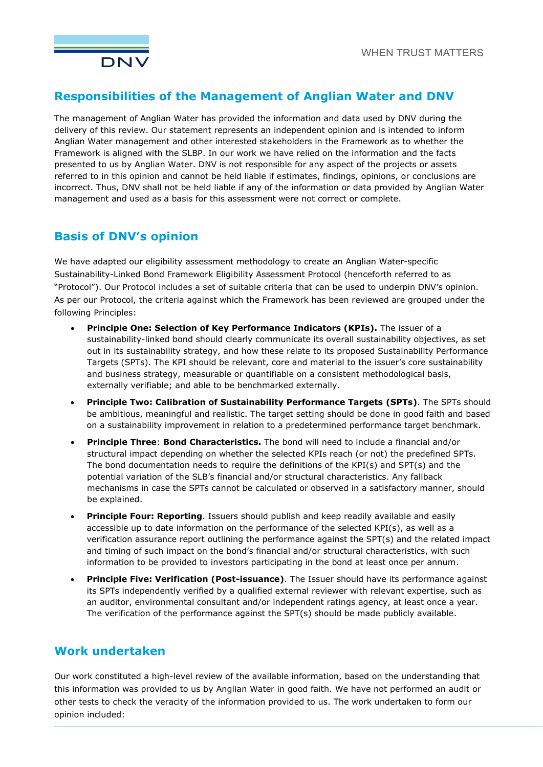

### **Responsibilities of the Management of Anglian Water and DNV**

The management of Anglian Water has provided the information and data used by DNV during the delivery of this review. Our statement represents an independent opinion and is intended to inform Anglian Water management and other interested stakeholders in the Framework as to whether the Framework is aligned with the SLBP. In our work we have relied on the information and the facts presented to us by Anglian Water. DNV is not responsible for any aspect of the projects or assets referred to in this opinion and cannot be held liable if estimates, findings, opinions, or conclusions are incorrect. Thus, DNV shall not be held liable if any of the information or data provided by Anglian Water management and used as a basis for this assessment were not correct or complete.

### **Basis of DNV's opinion**

We have adapted our eligibility assessment methodology to create an Anglian Water-specific Sustainability-Linked Bond Framework Eligibility Assessment Protocol (henceforth referred to as "Protocol"). Our Protocol includes a set of suitable criteria that can be used to underpin DNV's opinion. As per our Protocol, the criteria against which the Framework has been reviewed are grouped under the following Principles:

- **Principle One: Selection of Key Performance Indicators (KPIs).** The issuer of a sustainability-linked bond should clearly communicate its overall sustainability objectives, as set out in its sustainability strategy, and how these relate to its proposed Sustainability Performance Targets (SPTs). The KPI should be relevant, core and material to the issuer's core sustainability and business strategy, measurable or quantifiable on a consistent methodological basis, externally verifiable; and able to be benchmarked externally.
- **Principle Two: Calibration of Sustainability Performance Targets (SPTs)**. The SPTs should be ambitious, meaningful and realistic. The target setting should be done in good faith and based on a sustainability improvement in relation to a predetermined performance target benchmark.
- **Principle Three**: **Bond Characteristics.** The bond will need to include a financial and/or structural impact depending on whether the selected KPIs reach (or not) the predefined SPTs. The bond documentation needs to require the definitions of the KPI(s) and SPT(s) and the potential variation of the SLB's financial and/or structural characteristics. Any fallback mechanisms in case the SPTs cannot be calculated or observed in a satisfactory manner, should be explained.
- **Principle Four: Reporting**. Issuers should publish and keep readily available and easily accessible up to date information on the performance of the selected KPI(s), as well as a verification assurance report outlining the performance against the SPT(s) and the related impact and timing of such impact on the bond's financial and/or structural characteristics, with such information to be provided to investors participating in the bond at least once per annum.
- **Principle Five: Verification (Post-issuance)**. The Issuer should have its performance against its SPTs independently verified by a qualified external reviewer with relevant expertise, such as an auditor, environmental consultant and/or independent ratings agency, at least once a year. The verification of the performance against the SPT(s) should be made publicly available.

## **Work undertaken**

Our work constituted a high-level review of the available information, based on the understanding that this information was provided to us by Anglian Water in good faith. We have not performed an audit or other tests to check the veracity of the information provided to us. The work undertaken to form our opinion included: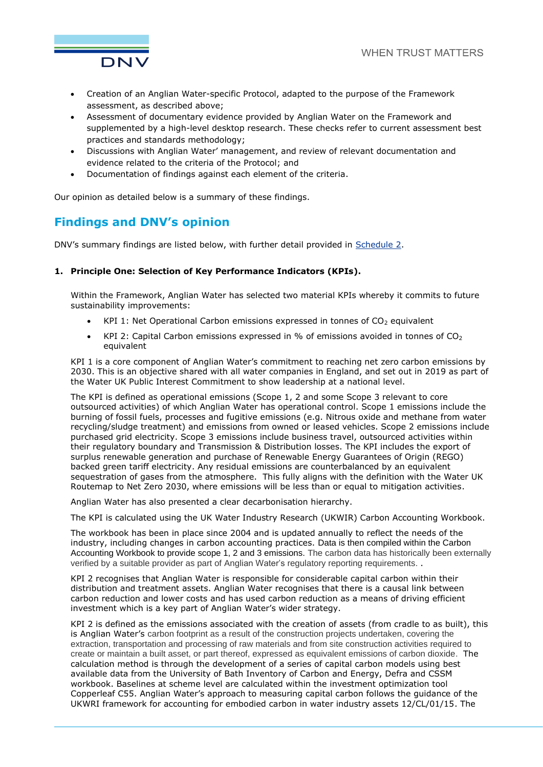

- Creation of an Anglian Water-specific Protocol, adapted to the purpose of the Framework assessment, as described above;
- Assessment of documentary evidence provided by Anglian Water on the Framework and supplemented by a high-level desktop research. These checks refer to current assessment best practices and standards methodology;
- Discussions with Anglian Water' management, and review of relevant documentation and evidence related to the criteria of the Protocol; and
- Documentation of findings against each element of the criteria.

Our opinion as detailed below is a summary of these findings.

### **Findings and DNV's opinion**

DNV's summary findings are listed below, with further detail provided in [Schedule 2.](#page-7-0)

#### **1. Principle One: Selection of Key Performance Indicators (KPIs).**

Within the Framework, Anglian Water has selected two material KPIs whereby it commits to future sustainability improvements:

- $KPI$  1: Net Operational Carbon emissions expressed in tonnes of  $CO<sub>2</sub>$  equivalent
- KPI 2: Capital Carbon emissions expressed in % of emissions avoided in tonnes of  $CO<sub>2</sub>$ equivalent

KPI 1 is a core component of Anglian Water's commitment to reaching net zero carbon emissions by 2030. This is an objective shared with all water companies in England, and set out in 2019 as part of the Water UK Public Interest Commitment to show leadership at a national level.

The KPI is defined as operational emissions (Scope 1, 2 and some Scope 3 relevant to core outsourced activities) of which Anglian Water has operational control. Scope 1 emissions include the burning of fossil fuels, processes and fugitive emissions (e.g. Nitrous oxide and methane from water recycling/sludge treatment) and emissions from owned or leased vehicles. Scope 2 emissions include purchased grid electricity. Scope 3 emissions include business travel, outsourced activities within their regulatory boundary and Transmission & Distribution losses. The KPI includes the export of surplus renewable generation and purchase of Renewable Energy Guarantees of Origin (REGO) backed green tariff electricity. Any residual emissions are counterbalanced by an equivalent sequestration of gases from the atmosphere. This fully aligns with the definition with the Water UK Routemap to Net Zero 2030, where emissions will be less than or equal to mitigation activities.

Anglian Water has also presented a clear decarbonisation hierarchy.

The KPI is calculated using the UK Water Industry Research (UKWIR) Carbon Accounting Workbook.

The workbook has been in place since 2004 and is updated annually to reflect the needs of the industry, including changes in carbon accounting practices. Data is then compiled within the Carbon Accounting Workbook to provide scope 1, 2 and 3 emissions. The carbon data has historically been externally verified by a suitable provider as part of Anglian Water's regulatory reporting requirements. .

KPI 2 recognises that Anglian Water is responsible for considerable capital carbon within their distribution and treatment assets. Anglian Water recognises that there is a causal link between carbon reduction and lower costs and has used carbon reduction as a means of driving efficient investment which is a key part of Anglian Water's wider strategy.

KPI 2 is defined as the emissions associated with the creation of assets (from cradle to as built), this is Anglian Water's carbon footprint as a result of the construction projects undertaken, covering the extraction, transportation and processing of raw materials and from site construction activities required to create or maintain a built asset, or part thereof, expressed as equivalent emissions of carbon dioxide. The calculation method is through the development of a series of capital carbon models using best available data from the University of Bath Inventory of Carbon and Energy, Defra and CSSM workbook. Baselines at scheme level are calculated within the investment optimization tool Copperleaf C55. Anglian Water's approach to measuring capital carbon follows the guidance of the UKWRI framework for accounting for embodied carbon in water industry assets 12/CL/01/15. The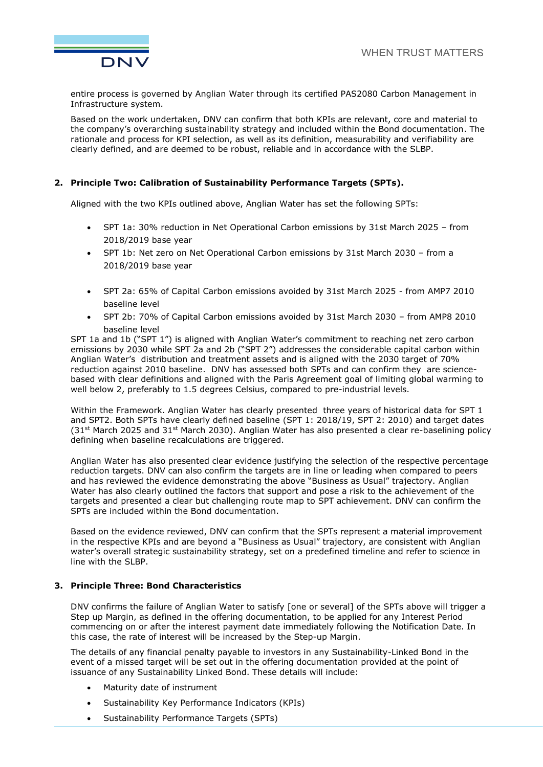

entire process is governed by Anglian Water through its certified PAS2080 Carbon Management in Infrastructure system.

Based on the work undertaken, DNV can confirm that both KPIs are relevant, core and material to the company's overarching sustainability strategy and included within the Bond documentation. The rationale and process for KPI selection, as well as its definition, measurability and verifiability are clearly defined, and are deemed to be robust, reliable and in accordance with the SLBP.

#### **2. Principle Two: Calibration of Sustainability Performance Targets (SPTs).**

Aligned with the two KPIs outlined above, Anglian Water has set the following SPTs:

- SPT 1a: 30% reduction in Net Operational Carbon emissions by 31st March 2025 from 2018/2019 base year
- SPT 1b: Net zero on Net Operational Carbon emissions by 31st March 2030 from a 2018/2019 base year
- SPT 2a: 65% of Capital Carbon emissions avoided by 31st March 2025 from AMP7 2010 baseline level
- SPT 2b: 70% of Capital Carbon emissions avoided by 31st March 2030 from AMP8 2010 baseline level

SPT 1a and 1b ("SPT 1") is aligned with Anglian Water's commitment to reaching net zero carbon emissions by 2030 while SPT 2a and 2b ("SPT 2") addresses the considerable capital carbon within Anglian Water's distribution and treatment assets and is aligned with the 2030 target of 70% reduction against 2010 baseline. DNV has assessed both SPTs and can confirm they are sciencebased with clear definitions and aligned with the Paris Agreement goal of limiting global warming to well below 2, preferably to 1.5 degrees Celsius, compared to pre-industrial levels.

Within the Framework. Anglian Water has clearly presented three years of historical data for SPT 1 and SPT2. Both SPTs have clearly defined baseline (SPT 1: 2018/19, SPT 2: 2010) and target dates  $(31<sup>st</sup>$  March 2025 and 31 $<sup>st</sup>$  March 2030). Anglian Water has also presented a clear re-baselining policy</sup> defining when baseline recalculations are triggered.

Anglian Water has also presented clear evidence justifying the selection of the respective percentage reduction targets. DNV can also confirm the targets are in line or leading when compared to peers and has reviewed the evidence demonstrating the above "Business as Usual" trajectory. Anglian Water has also clearly outlined the factors that support and pose a risk to the achievement of the targets and presented a clear but challenging route map to SPT achievement. DNV can confirm the SPTs are included within the Bond documentation.

Based on the evidence reviewed, DNV can confirm that the SPTs represent a material improvement in the respective KPIs and are beyond a "Business as Usual" trajectory, are consistent with Anglian water's overall strategic sustainability strategy, set on a predefined timeline and refer to science in line with the SLBP.

#### **3. Principle Three: Bond Characteristics**

DNV confirms the failure of Anglian Water to satisfy [one or several] of the SPTs above will trigger a Step up Margin, as defined in the offering documentation, to be applied for any Interest Period commencing on or after the interest payment date immediately following the Notification Date. In this case, the rate of interest will be increased by the Step-up Margin.

The details of any financial penalty payable to investors in any Sustainability-Linked Bond in the event of a missed target will be set out in the offering documentation provided at the point of issuance of any Sustainability Linked Bond. These details will include:

- Maturity date of instrument
- Sustainability Key Performance Indicators (KPIs)
- Sustainability Performance Targets (SPTs)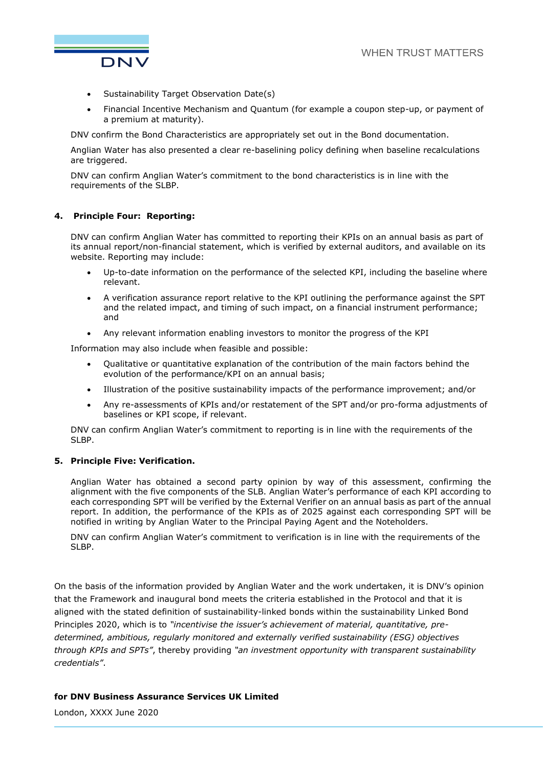

- Sustainability Target Observation Date(s)
- Financial Incentive Mechanism and Quantum (for example a coupon step-up, or payment of a premium at maturity).

DNV confirm the Bond Characteristics are appropriately set out in the Bond documentation.

Anglian Water has also presented a clear re-baselining policy defining when baseline recalculations are triggered.

DNV can confirm Anglian Water's commitment to the bond characteristics is in line with the requirements of the SLBP.

#### **4. Principle Four: Reporting:**

DNV can confirm Anglian Water has committed to reporting their KPIs on an annual basis as part of its annual report/non-financial statement, which is verified by external auditors, and available on its website. Reporting may include:

- Up-to-date information on the performance of the selected KPI, including the baseline where relevant.
- A verification assurance report relative to the KPI outlining the performance against the SPT and the related impact, and timing of such impact, on a financial instrument performance; and
- Any relevant information enabling investors to monitor the progress of the KPI

Information may also include when feasible and possible:

- Qualitative or quantitative explanation of the contribution of the main factors behind the evolution of the performance/KPI on an annual basis;
- Illustration of the positive sustainability impacts of the performance improvement; and/or
- Any re-assessments of KPIs and/or restatement of the SPT and/or pro-forma adjustments of baselines or KPI scope, if relevant.

DNV can confirm Anglian Water's commitment to reporting is in line with the requirements of the SLBP.

#### **5. Principle Five: Verification.**

Anglian Water has obtained a second party opinion by way of this assessment, confirming the alignment with the five components of the SLB. Anglian Water's performance of each KPI according to each corresponding SPT will be verified by the External Verifier on an annual basis as part of the annual report. In addition, the performance of the KPIs as of 2025 against each corresponding SPT will be notified in writing by Anglian Water to the Principal Paying Agent and the Noteholders.

DNV can confirm Anglian Water's commitment to verification is in line with the requirements of the SLBP.

On the basis of the information provided by Anglian Water and the work undertaken, it is DNV's opinion that the Framework and inaugural bond meets the criteria established in the Protocol and that it is aligned with the stated definition of sustainability-linked bonds within the sustainability Linked Bond Principles 2020, which is to *"incentivise the issuer's achievement of material, quantitative, predetermined, ambitious, regularly monitored and externally verified sustainability (ESG) objectives through KPIs and SPTs"*, thereby providing *"an investment opportunity with transparent sustainability credentials"*.

#### **for DNV Business Assurance Services UK Limited**

London, XXXX June 2020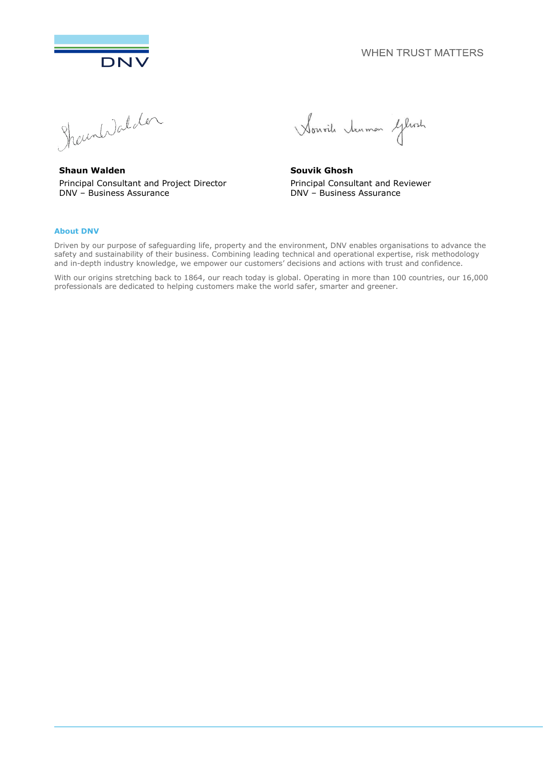**WHEN TRUST MATTERS** 



DNV<br>Shound del der

**Shaun Walden** Principal Consultant and Project Director DNV – Business Assurance

Sourile tenmen Gleat

**Souvik Ghosh** Principal Consultant and Reviewer DNV – Business Assurance

#### **About DNV**

Driven by our purpose of safeguarding life, property and the environment, DNV enables organisations to advance the safety and sustainability of their business. Combining leading technical and operational expertise, risk methodology and in-depth industry knowledge, we empower our customers' decisions and actions with trust and confidence.

With our origins stretching back to 1864, our reach today is global. Operating in more than 100 countries, our 16,000 professionals are dedicated to helping customers make the world safer, smarter and greener.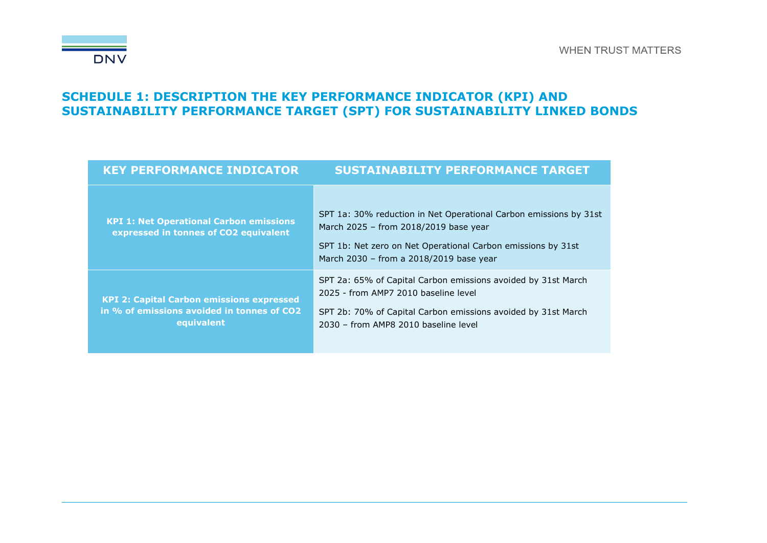

## **SCHEDULE 1: DESCRIPTION THE KEY PERFORMANCE INDICATOR (KPI) AND SUSTAINABILITY PERFORMANCE TARGET (SPT) FOR SUSTAINABILITY LINKED BONDS**

| <b>KEY PERFORMANCE INDICATOR</b>                                                                             | <b>SUSTAINABILITY PERFORMANCE TARGET</b>                                                                                                                                                                              |
|--------------------------------------------------------------------------------------------------------------|-----------------------------------------------------------------------------------------------------------------------------------------------------------------------------------------------------------------------|
| <b>KPI 1: Net Operational Carbon emissions</b><br>expressed in tonnes of CO2 equivalent                      | SPT 1a: 30% reduction in Net Operational Carbon emissions by 31st<br>March 2025 - from 2018/2019 base year<br>SPT 1b: Net zero on Net Operational Carbon emissions by 31st<br>March 2030 - from a 2018/2019 base year |
| <b>KPI 2: Capital Carbon emissions expressed</b><br>in % of emissions avoided in tonnes of CO2<br>equivalent | SPT 2a: 65% of Capital Carbon emissions avoided by 31st March<br>2025 - from AMP7 2010 baseline level<br>SPT 2b: 70% of Capital Carbon emissions avoided by 31st March<br>2030 - from AMP8 2010 baseline level        |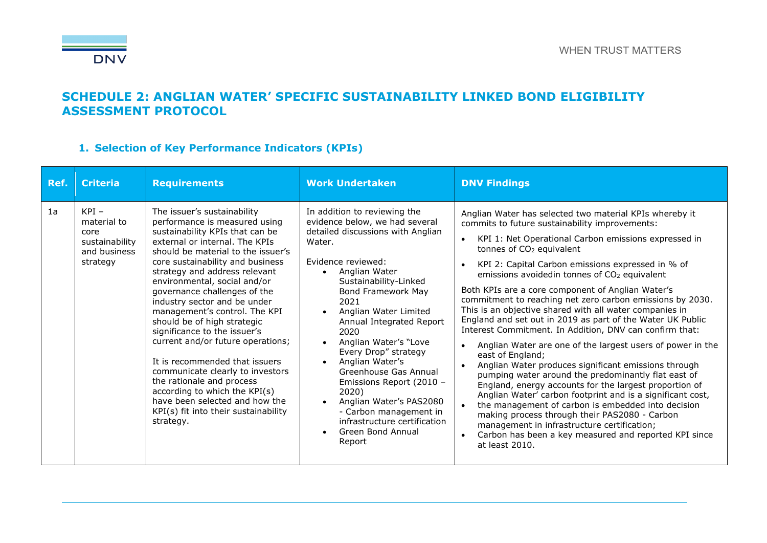

### **SCHEDULE 2: ANGLIAN WATER' SPECIFIC SUSTAINABILITY LINKED BOND ELIGIBILITY ASSESSMENT PROTOCOL**

### **1. Selection of Key Performance Indicators (KPIs)**

<span id="page-7-0"></span>

| Ref. | <b>Criteria</b>                                                              | <b>Requirements</b>                                                                                                                                                                                                                                                                                                                                                                                                                                                                                                                                                                                                                                                                                          | <b>Work Undertaken</b>                                                                                                                                                                                                                                                                                                                                                                                                                                                                                                                             | <b>DNV Findings</b>                                                                                                                                                                                                                                                                                                                                                                                                                                                                                                                                                                                                                                                                                                                                                                                                                                                                                                                                                                                                                                                                                                                                                                           |
|------|------------------------------------------------------------------------------|--------------------------------------------------------------------------------------------------------------------------------------------------------------------------------------------------------------------------------------------------------------------------------------------------------------------------------------------------------------------------------------------------------------------------------------------------------------------------------------------------------------------------------------------------------------------------------------------------------------------------------------------------------------------------------------------------------------|----------------------------------------------------------------------------------------------------------------------------------------------------------------------------------------------------------------------------------------------------------------------------------------------------------------------------------------------------------------------------------------------------------------------------------------------------------------------------------------------------------------------------------------------------|-----------------------------------------------------------------------------------------------------------------------------------------------------------------------------------------------------------------------------------------------------------------------------------------------------------------------------------------------------------------------------------------------------------------------------------------------------------------------------------------------------------------------------------------------------------------------------------------------------------------------------------------------------------------------------------------------------------------------------------------------------------------------------------------------------------------------------------------------------------------------------------------------------------------------------------------------------------------------------------------------------------------------------------------------------------------------------------------------------------------------------------------------------------------------------------------------|
| 1a   | $KPI -$<br>material to<br>core<br>sustainability<br>and business<br>strategy | The issuer's sustainability<br>performance is measured using<br>sustainability KPIs that can be<br>external or internal. The KPIs<br>should be material to the issuer's<br>core sustainability and business<br>strategy and address relevant<br>environmental, social and/or<br>governance challenges of the<br>industry sector and be under<br>management's control. The KPI<br>should be of high strategic<br>significance to the issuer's<br>current and/or future operations;<br>It is recommended that issuers<br>communicate clearly to investors<br>the rationale and process<br>according to which the KPI(s)<br>have been selected and how the<br>KPI(s) fit into their sustainability<br>strategy. | In addition to reviewing the<br>evidence below, we had several<br>detailed discussions with Anglian<br>Water.<br>Evidence reviewed:<br>Anglian Water<br>Sustainability-Linked<br><b>Bond Framework May</b><br>2021<br>Anglian Water Limited<br>Annual Integrated Report<br>2020<br>Anglian Water's "Love<br>Every Drop" strategy<br>Anglian Water's<br>Greenhouse Gas Annual<br>Emissions Report (2010 -<br>2020)<br>Anglian Water's PAS2080<br>- Carbon management in<br>infrastructure certification<br>Green Bond Annual<br>$\bullet$<br>Report | Anglian Water has selected two material KPIs whereby it<br>commits to future sustainability improvements:<br>KPI 1: Net Operational Carbon emissions expressed in<br>tonnes of $CO2$ equivalent<br>KPI 2: Capital Carbon emissions expressed in % of<br>$\bullet$<br>emissions avoidedin tonnes of CO <sub>2</sub> equivalent<br>Both KPIs are a core component of Anglian Water's<br>commitment to reaching net zero carbon emissions by 2030.<br>This is an objective shared with all water companies in<br>England and set out in 2019 as part of the Water UK Public<br>Interest Commitment. In Addition, DNV can confirm that:<br>Anglian Water are one of the largest users of power in the<br>east of England;<br>Anglian Water produces significant emissions through<br>pumping water around the predominantly flat east of<br>England, energy accounts for the largest proportion of<br>Anglian Water' carbon footprint and is a significant cost,<br>the management of carbon is embedded into decision<br>making process through their PAS2080 - Carbon<br>management in infrastructure certification;<br>Carbon has been a key measured and reported KPI since<br>at least 2010. |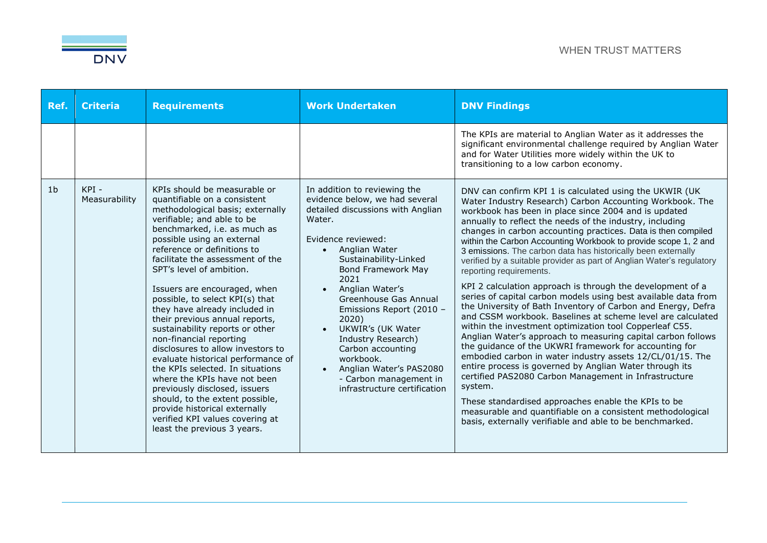

| Ref. | <b>Criteria</b>       | <b>Requirements</b>                                                                                                                                                                                                                                                                                                                                                                                                                                                                                                                                                                                                                                                                                                                                                                                                   | <b>Work Undertaken</b>                                                                                                                                                                                                                                                                                                                                                                                                                                                | <b>DNV Findings</b>                                                                                                                                                                                                                                                                                                                                                                                                                                                                                                                                                                                                                                                                                                                                                                                                                                                                                                                                                                                                                                                                                                                                                                                                                                                                                                                                                                |
|------|-----------------------|-----------------------------------------------------------------------------------------------------------------------------------------------------------------------------------------------------------------------------------------------------------------------------------------------------------------------------------------------------------------------------------------------------------------------------------------------------------------------------------------------------------------------------------------------------------------------------------------------------------------------------------------------------------------------------------------------------------------------------------------------------------------------------------------------------------------------|-----------------------------------------------------------------------------------------------------------------------------------------------------------------------------------------------------------------------------------------------------------------------------------------------------------------------------------------------------------------------------------------------------------------------------------------------------------------------|------------------------------------------------------------------------------------------------------------------------------------------------------------------------------------------------------------------------------------------------------------------------------------------------------------------------------------------------------------------------------------------------------------------------------------------------------------------------------------------------------------------------------------------------------------------------------------------------------------------------------------------------------------------------------------------------------------------------------------------------------------------------------------------------------------------------------------------------------------------------------------------------------------------------------------------------------------------------------------------------------------------------------------------------------------------------------------------------------------------------------------------------------------------------------------------------------------------------------------------------------------------------------------------------------------------------------------------------------------------------------------|
|      |                       |                                                                                                                                                                                                                                                                                                                                                                                                                                                                                                                                                                                                                                                                                                                                                                                                                       |                                                                                                                                                                                                                                                                                                                                                                                                                                                                       | The KPIs are material to Anglian Water as it addresses the<br>significant environmental challenge required by Anglian Water<br>and for Water Utilities more widely within the UK to<br>transitioning to a low carbon economy.                                                                                                                                                                                                                                                                                                                                                                                                                                                                                                                                                                                                                                                                                                                                                                                                                                                                                                                                                                                                                                                                                                                                                      |
| 1b   | KPI-<br>Measurability | KPIs should be measurable or<br>quantifiable on a consistent<br>methodological basis; externally<br>verifiable; and able to be<br>benchmarked, i.e. as much as<br>possible using an external<br>reference or definitions to<br>facilitate the assessment of the<br>SPT's level of ambition.<br>Issuers are encouraged, when<br>possible, to select KPI(s) that<br>they have already included in<br>their previous annual reports,<br>sustainability reports or other<br>non-financial reporting<br>disclosures to allow investors to<br>evaluate historical performance of<br>the KPIs selected. In situations<br>where the KPIs have not been<br>previously disclosed, issuers<br>should, to the extent possible,<br>provide historical externally<br>verified KPI values covering at<br>least the previous 3 years. | In addition to reviewing the<br>evidence below, we had several<br>detailed discussions with Anglian<br>Water.<br>Evidence reviewed:<br>Anglian Water<br>Sustainability-Linked<br><b>Bond Framework May</b><br>2021<br>Anglian Water's<br>Greenhouse Gas Annual<br>Emissions Report (2010 -<br>2020)<br>UKWIR's (UK Water<br>Industry Research)<br>Carbon accounting<br>workbook.<br>Anglian Water's PAS2080<br>- Carbon management in<br>infrastructure certification | DNV can confirm KPI 1 is calculated using the UKWIR (UK)<br>Water Industry Research) Carbon Accounting Workbook. The<br>workbook has been in place since 2004 and is updated<br>annually to reflect the needs of the industry, including<br>changes in carbon accounting practices. Data is then compiled<br>within the Carbon Accounting Workbook to provide scope 1, 2 and<br>3 emissions. The carbon data has historically been externally<br>verified by a suitable provider as part of Anglian Water's regulatory<br>reporting requirements.<br>KPI 2 calculation approach is through the development of a<br>series of capital carbon models using best available data from<br>the University of Bath Inventory of Carbon and Energy, Defra<br>and CSSM workbook. Baselines at scheme level are calculated<br>within the investment optimization tool Copperleaf C55.<br>Anglian Water's approach to measuring capital carbon follows<br>the guidance of the UKWRI framework for accounting for<br>embodied carbon in water industry assets 12/CL/01/15. The<br>entire process is governed by Anglian Water through its<br>certified PAS2080 Carbon Management in Infrastructure<br>system.<br>These standardised approaches enable the KPIs to be<br>measurable and quantifiable on a consistent methodological<br>basis, externally verifiable and able to be benchmarked. |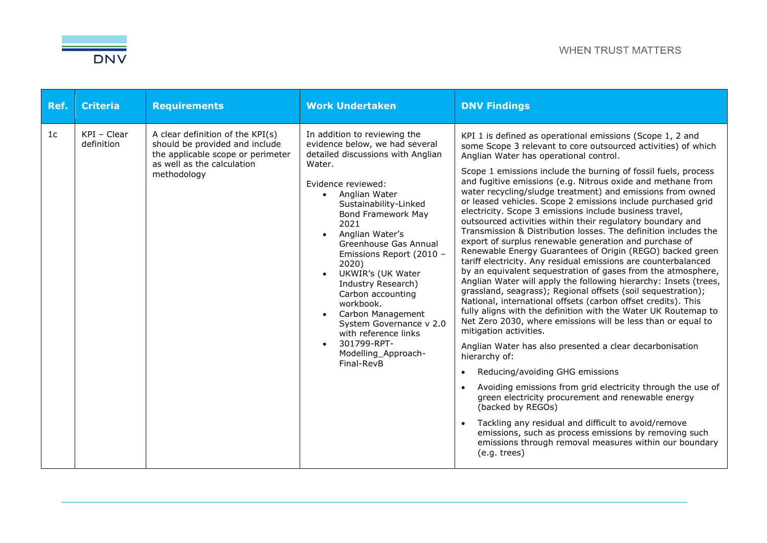

| Ref.           | <b>Criteria</b>           | <b>Requirements</b>                                                                                                                                  | <b>Work Undertaken</b>                                                                                                                                                                                                                                                                                                                                                                                                                                                                                         | <b>DNV Findings</b>                                                                                                                                                                                                                                                                                                                                                                                                                                                                                                                                                                                                                                                                                                                                                                                                                                                                                                                                                                                                                                                                                                                                                                                                                                                                                                                                                                                                                                                                                                                                                                                                                                                                                           |
|----------------|---------------------------|------------------------------------------------------------------------------------------------------------------------------------------------------|----------------------------------------------------------------------------------------------------------------------------------------------------------------------------------------------------------------------------------------------------------------------------------------------------------------------------------------------------------------------------------------------------------------------------------------------------------------------------------------------------------------|---------------------------------------------------------------------------------------------------------------------------------------------------------------------------------------------------------------------------------------------------------------------------------------------------------------------------------------------------------------------------------------------------------------------------------------------------------------------------------------------------------------------------------------------------------------------------------------------------------------------------------------------------------------------------------------------------------------------------------------------------------------------------------------------------------------------------------------------------------------------------------------------------------------------------------------------------------------------------------------------------------------------------------------------------------------------------------------------------------------------------------------------------------------------------------------------------------------------------------------------------------------------------------------------------------------------------------------------------------------------------------------------------------------------------------------------------------------------------------------------------------------------------------------------------------------------------------------------------------------------------------------------------------------------------------------------------------------|
| 1 <sub>c</sub> | KPI - Clear<br>definition | A clear definition of the KPI(s)<br>should be provided and include<br>the applicable scope or perimeter<br>as well as the calculation<br>methodology | In addition to reviewing the<br>evidence below, we had several<br>detailed discussions with Anglian<br>Water.<br>Evidence reviewed:<br>• Anglian Water<br>Sustainability-Linked<br><b>Bond Framework May</b><br>2021<br>Anglian Water's<br>Greenhouse Gas Annual<br>Emissions Report (2010 -<br>2020)<br>UKWIR's (UK Water<br>Industry Research)<br>Carbon accounting<br>workbook.<br>Carbon Management<br>System Governance v 2.0<br>with reference links<br>301799-RPT-<br>Modelling_Approach-<br>Final-RevB | KPI 1 is defined as operational emissions (Scope 1, 2 and<br>some Scope 3 relevant to core outsourced activities) of which<br>Anglian Water has operational control.<br>Scope 1 emissions include the burning of fossil fuels, process<br>and fugitive emissions (e.g. Nitrous oxide and methane from<br>water recycling/sludge treatment) and emissions from owned<br>or leased vehicles. Scope 2 emissions include purchased grid<br>electricity. Scope 3 emissions include business travel,<br>outsourced activities within their regulatory boundary and<br>Transmission & Distribution losses. The definition includes the<br>export of surplus renewable generation and purchase of<br>Renewable Energy Guarantees of Origin (REGO) backed green<br>tariff electricity. Any residual emissions are counterbalanced<br>by an equivalent sequestration of gases from the atmosphere,<br>Anglian Water will apply the following hierarchy: Insets (trees,<br>grassland, seagrass); Regional offsets (soil sequestration);<br>National, international offsets (carbon offset credits). This<br>fully aligns with the definition with the Water UK Routemap to<br>Net Zero 2030, where emissions will be less than or equal to<br>mitigation activities.<br>Anglian Water has also presented a clear decarbonisation<br>hierarchy of:<br>Reducing/avoiding GHG emissions<br>Avoiding emissions from grid electricity through the use of<br>green electricity procurement and renewable energy<br>(backed by REGOs)<br>Tackling any residual and difficult to avoid/remove<br>emissions, such as process emissions by removing such<br>emissions through removal measures within our boundary<br>(e.g. trees) |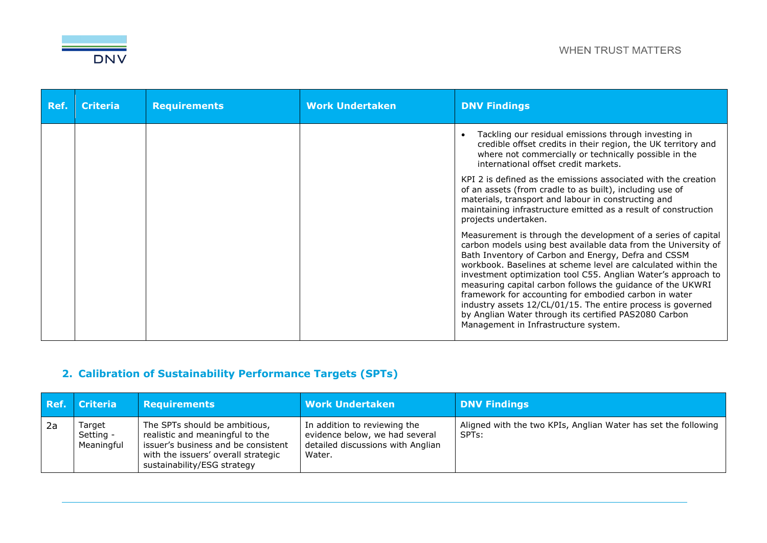

| Ref. | <b>Criteria</b> | <b>Requirements</b> | <b>Work Undertaken</b> | <b>DNV Findings</b>                                                                                                                                                                                                                                                                                                                                                                                                                                                                                                                                                                                             |
|------|-----------------|---------------------|------------------------|-----------------------------------------------------------------------------------------------------------------------------------------------------------------------------------------------------------------------------------------------------------------------------------------------------------------------------------------------------------------------------------------------------------------------------------------------------------------------------------------------------------------------------------------------------------------------------------------------------------------|
|      |                 |                     |                        | Tackling our residual emissions through investing in<br>credible offset credits in their region, the UK territory and<br>where not commercially or technically possible in the<br>international offset credit markets.                                                                                                                                                                                                                                                                                                                                                                                          |
|      |                 |                     |                        | KPI 2 is defined as the emissions associated with the creation<br>of an assets (from cradle to as built), including use of<br>materials, transport and labour in constructing and<br>maintaining infrastructure emitted as a result of construction<br>projects undertaken.                                                                                                                                                                                                                                                                                                                                     |
|      |                 |                     |                        | Measurement is through the development of a series of capital<br>carbon models using best available data from the University of<br>Bath Inventory of Carbon and Energy, Defra and CSSM<br>workbook. Baselines at scheme level are calculated within the<br>investment optimization tool C55. Anglian Water's approach to<br>measuring capital carbon follows the guidance of the UKWRI<br>framework for accounting for embodied carbon in water<br>industry assets 12/CL/01/15. The entire process is governed<br>by Anglian Water through its certified PAS2080 Carbon<br>Management in Infrastructure system. |

# **2. Calibration of Sustainability Performance Targets (SPTs)**

|     | Ref. Criteria                     | <b>Requirements</b>                                                                                                                                                           | <b>Work Undertaken</b>                                                                                        | <b>DNV Findings</b>                                                                  |
|-----|-----------------------------------|-------------------------------------------------------------------------------------------------------------------------------------------------------------------------------|---------------------------------------------------------------------------------------------------------------|--------------------------------------------------------------------------------------|
| -2a | Target<br>Setting -<br>Meaningful | The SPTs should be ambitious,<br>realistic and meaningful to the<br>issuer's business and be consistent<br>with the issuers' overall strategic<br>sustainability/ESG strategy | In addition to reviewing the<br>evidence below, we had several<br>detailed discussions with Anglian<br>Water. | Aligned with the two KPIs, Anglian Water has set the following<br>SPT <sub>s</sub> : |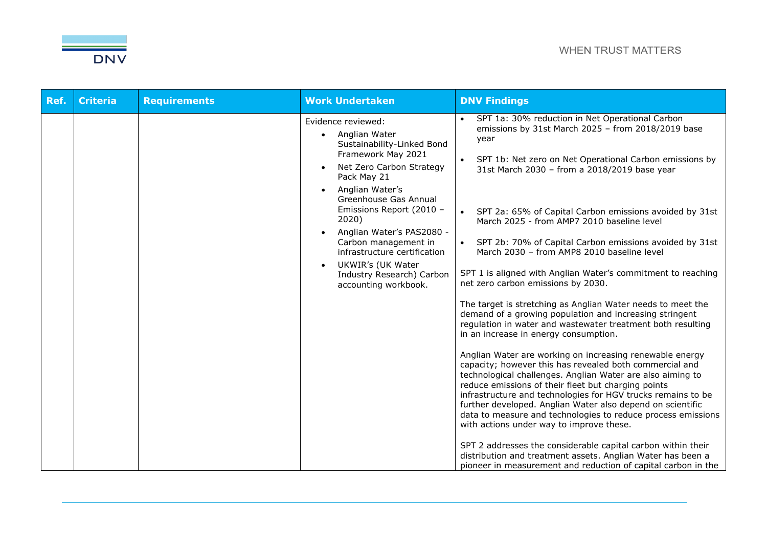

| Ref. | <b>Criteria</b> | <b>Requirements</b> | <b>Work Undertaken</b>                                                                                                                                                                                                                                                                                                                                                                                       | <b>DNV Findings</b>                                                                                                                                                                                                                                                                                                                                                                                                                                                                                                                                                                                                                                                                                                                                                                                                                                                                                                                                                                                                                                                                                                                                                                                                                                                                                                                                                                                                                                                              |
|------|-----------------|---------------------|--------------------------------------------------------------------------------------------------------------------------------------------------------------------------------------------------------------------------------------------------------------------------------------------------------------------------------------------------------------------------------------------------------------|----------------------------------------------------------------------------------------------------------------------------------------------------------------------------------------------------------------------------------------------------------------------------------------------------------------------------------------------------------------------------------------------------------------------------------------------------------------------------------------------------------------------------------------------------------------------------------------------------------------------------------------------------------------------------------------------------------------------------------------------------------------------------------------------------------------------------------------------------------------------------------------------------------------------------------------------------------------------------------------------------------------------------------------------------------------------------------------------------------------------------------------------------------------------------------------------------------------------------------------------------------------------------------------------------------------------------------------------------------------------------------------------------------------------------------------------------------------------------------|
|      |                 |                     | Evidence reviewed:<br>Anglian Water<br>Sustainability-Linked Bond<br>Framework May 2021<br>Net Zero Carbon Strategy<br>$\bullet$<br>Pack May 21<br>Anglian Water's<br>Greenhouse Gas Annual<br>Emissions Report (2010 -<br>2020)<br>Anglian Water's PAS2080 -<br>Carbon management in<br>infrastructure certification<br>UKWIR's (UK Water<br>$\bullet$<br>Industry Research) Carbon<br>accounting workbook. | • SPT 1a: 30% reduction in Net Operational Carbon<br>emissions by 31st March 2025 - from 2018/2019 base<br>year<br>• SPT 1b: Net zero on Net Operational Carbon emissions by<br>31st March 2030 - from a 2018/2019 base year<br>• SPT 2a: 65% of Capital Carbon emissions avoided by 31st<br>March 2025 - from AMP7 2010 baseline level<br>• SPT 2b: 70% of Capital Carbon emissions avoided by 31st<br>March 2030 - from AMP8 2010 baseline level<br>SPT 1 is aligned with Anglian Water's commitment to reaching<br>net zero carbon emissions by 2030.<br>The target is stretching as Anglian Water needs to meet the<br>demand of a growing population and increasing stringent<br>regulation in water and wastewater treatment both resulting<br>in an increase in energy consumption.<br>Anglian Water are working on increasing renewable energy<br>capacity; however this has revealed both commercial and<br>technological challenges. Anglian Water are also aiming to<br>reduce emissions of their fleet but charging points<br>infrastructure and technologies for HGV trucks remains to be<br>further developed. Anglian Water also depend on scientific<br>data to measure and technologies to reduce process emissions<br>with actions under way to improve these.<br>SPT 2 addresses the considerable capital carbon within their<br>distribution and treatment assets. Anglian Water has been a<br>pioneer in measurement and reduction of capital carbon in the |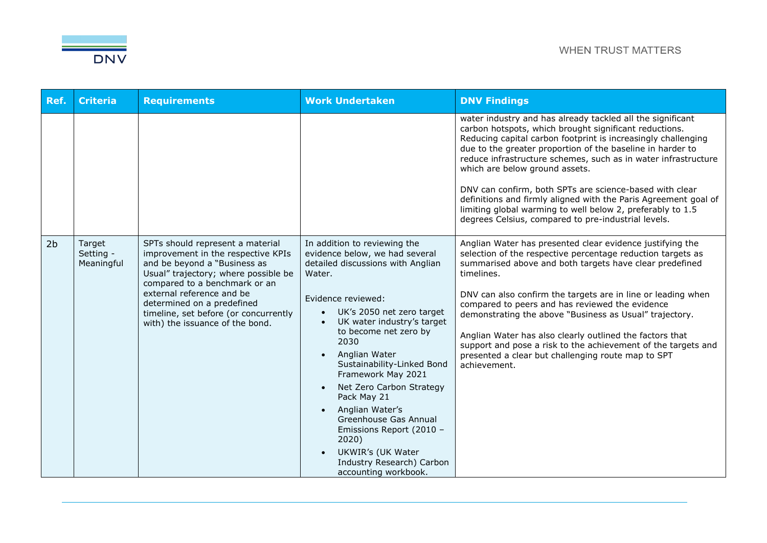

| Ref.           | <b>Criteria</b>                   | <b>Requirements</b>                                                                                                                                                                                                                                                                                                    | <b>Work Undertaken</b>                                                                                                                                                                                                                                                                                                                                                                                                                                                                                                                            | <b>DNV Findings</b>                                                                                                                                                                                                                                                                                                                                                                                                                                                                                                                                                                                        |
|----------------|-----------------------------------|------------------------------------------------------------------------------------------------------------------------------------------------------------------------------------------------------------------------------------------------------------------------------------------------------------------------|---------------------------------------------------------------------------------------------------------------------------------------------------------------------------------------------------------------------------------------------------------------------------------------------------------------------------------------------------------------------------------------------------------------------------------------------------------------------------------------------------------------------------------------------------|------------------------------------------------------------------------------------------------------------------------------------------------------------------------------------------------------------------------------------------------------------------------------------------------------------------------------------------------------------------------------------------------------------------------------------------------------------------------------------------------------------------------------------------------------------------------------------------------------------|
|                |                                   |                                                                                                                                                                                                                                                                                                                        |                                                                                                                                                                                                                                                                                                                                                                                                                                                                                                                                                   | water industry and has already tackled all the significant<br>carbon hotspots, which brought significant reductions.<br>Reducing capital carbon footprint is increasingly challenging<br>due to the greater proportion of the baseline in harder to<br>reduce infrastructure schemes, such as in water infrastructure<br>which are below ground assets.<br>DNV can confirm, both SPTs are science-based with clear<br>definitions and firmly aligned with the Paris Agreement goal of<br>limiting global warming to well below 2, preferably to 1.5<br>degrees Celsius, compared to pre-industrial levels. |
| 2 <sub>b</sub> | Target<br>Setting -<br>Meaningful | SPTs should represent a material<br>improvement in the respective KPIs<br>and be beyond a "Business as<br>Usual" trajectory; where possible be<br>compared to a benchmark or an<br>external reference and be<br>determined on a predefined<br>timeline, set before (or concurrently<br>with) the issuance of the bond. | In addition to reviewing the<br>evidence below, we had several<br>detailed discussions with Anglian<br>Water.<br>Evidence reviewed:<br>UK's 2050 net zero target<br>$\bullet$<br>UK water industry's target<br>to become net zero by<br>2030<br>Anglian Water<br>Sustainability-Linked Bond<br>Framework May 2021<br>Net Zero Carbon Strategy<br>$\bullet$<br>Pack May 21<br>Anglian Water's<br>$\bullet$<br>Greenhouse Gas Annual<br>Emissions Report (2010 -<br>2020)<br>UKWIR's (UK Water<br>Industry Research) Carbon<br>accounting workbook. | Anglian Water has presented clear evidence justifying the<br>selection of the respective percentage reduction targets as<br>summarised above and both targets have clear predefined<br>timelines.<br>DNV can also confirm the targets are in line or leading when<br>compared to peers and has reviewed the evidence<br>demonstrating the above "Business as Usual" trajectory.<br>Anglian Water has also clearly outlined the factors that<br>support and pose a risk to the achievement of the targets and<br>presented a clear but challenging route map to SPT<br>achievement.                         |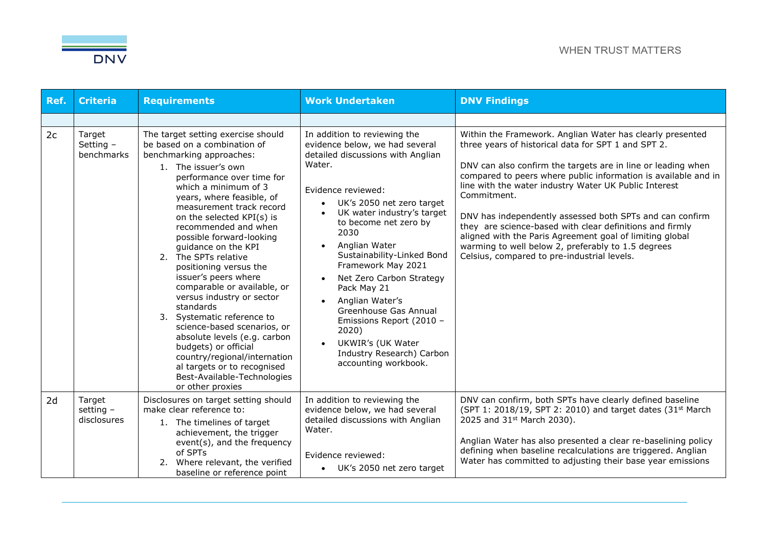

| Ref. | <b>Criteria</b>                    | <b>Requirements</b>                                                                                                                                                                                                                                                                                                                                                                                                                                                                                                                                                                                                                                                                                                                   | <b>Work Undertaken</b>                                                                                                                                                                                                                                                                                                                                                                                                                                                                                     | <b>DNV Findings</b>                                                                                                                                                                                                                                                                                                                                                                                                                                                                                                                                                                                                 |
|------|------------------------------------|---------------------------------------------------------------------------------------------------------------------------------------------------------------------------------------------------------------------------------------------------------------------------------------------------------------------------------------------------------------------------------------------------------------------------------------------------------------------------------------------------------------------------------------------------------------------------------------------------------------------------------------------------------------------------------------------------------------------------------------|------------------------------------------------------------------------------------------------------------------------------------------------------------------------------------------------------------------------------------------------------------------------------------------------------------------------------------------------------------------------------------------------------------------------------------------------------------------------------------------------------------|---------------------------------------------------------------------------------------------------------------------------------------------------------------------------------------------------------------------------------------------------------------------------------------------------------------------------------------------------------------------------------------------------------------------------------------------------------------------------------------------------------------------------------------------------------------------------------------------------------------------|
|      |                                    |                                                                                                                                                                                                                                                                                                                                                                                                                                                                                                                                                                                                                                                                                                                                       |                                                                                                                                                                                                                                                                                                                                                                                                                                                                                                            |                                                                                                                                                                                                                                                                                                                                                                                                                                                                                                                                                                                                                     |
| 2c   | Target<br>Setting -<br>benchmarks  | The target setting exercise should<br>be based on a combination of<br>benchmarking approaches:<br>1. The issuer's own<br>performance over time for<br>which a minimum of 3<br>years, where feasible, of<br>measurement track record<br>on the selected KPI(s) is<br>recommended and when<br>possible forward-looking<br>guidance on the KPI<br>2. The SPTs relative<br>positioning versus the<br>issuer's peers where<br>comparable or available, or<br>versus industry or sector<br>standards<br>3. Systematic reference to<br>science-based scenarios, or<br>absolute levels (e.g. carbon<br>budgets) or official<br>country/regional/internation<br>al targets or to recognised<br>Best-Available-Technologies<br>or other proxies | In addition to reviewing the<br>evidence below, we had several<br>detailed discussions with Anglian<br>Water.<br>Evidence reviewed:<br>UK's 2050 net zero target<br>UK water industry's target<br>to become net zero by<br>2030<br>Anglian Water<br>Sustainability-Linked Bond<br>Framework May 2021<br>Net Zero Carbon Strategy<br>Pack May 21<br>Anglian Water's<br>Greenhouse Gas Annual<br>Emissions Report (2010 -<br>2020)<br>UKWIR's (UK Water<br>Industry Research) Carbon<br>accounting workbook. | Within the Framework. Anglian Water has clearly presented<br>three years of historical data for SPT 1 and SPT 2.<br>DNV can also confirm the targets are in line or leading when<br>compared to peers where public information is available and in<br>line with the water industry Water UK Public Interest<br>Commitment.<br>DNV has independently assessed both SPTs and can confirm<br>they are science-based with clear definitions and firmly<br>aligned with the Paris Agreement goal of limiting global<br>warming to well below 2, preferably to 1.5 degrees<br>Celsius, compared to pre-industrial levels. |
| 2d   | Target<br>setting -<br>disclosures | Disclosures on target setting should<br>make clear reference to:<br>1. The timelines of target<br>achievement, the trigger<br>event(s), and the frequency<br>of SPTs<br>2. Where relevant, the verified<br>baseline or reference point                                                                                                                                                                                                                                                                                                                                                                                                                                                                                                | In addition to reviewing the<br>evidence below, we had several<br>detailed discussions with Anglian<br>Water.<br>Evidence reviewed:<br>• UK's 2050 net zero target                                                                                                                                                                                                                                                                                                                                         | DNV can confirm, both SPTs have clearly defined baseline<br>(SPT 1: 2018/19, SPT 2: 2010) and target dates (31 <sup>st</sup> March<br>2025 and 31st March 2030).<br>Anglian Water has also presented a clear re-baselining policy<br>defining when baseline recalculations are triggered. Anglian<br>Water has committed to adjusting their base year emissions                                                                                                                                                                                                                                                     |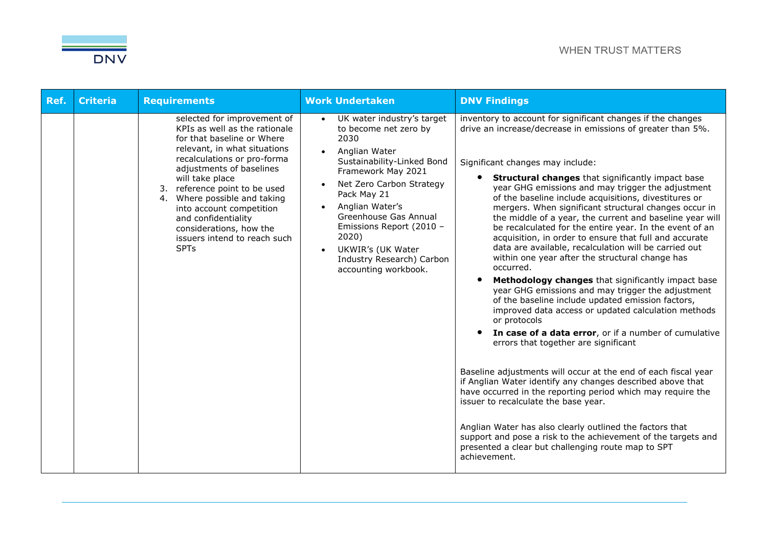

| Ref. | <b>Criteria</b> | <b>Requirements</b>                                                                                                                                                                                                                                                                                                                                                                                          | <b>Work Undertaken</b>                                                                                                                                                                                                                                                                                                                                                        | <b>DNV Findings</b>                                                                                                                                                                                                                                                                                                                                                                                                                                                                                                                                                                                                                                                                                                                                                                                                                                                                                                                                                                                                                                                                                                                                                                                                                                                                                                                                                                                                                                                                           |
|------|-----------------|--------------------------------------------------------------------------------------------------------------------------------------------------------------------------------------------------------------------------------------------------------------------------------------------------------------------------------------------------------------------------------------------------------------|-------------------------------------------------------------------------------------------------------------------------------------------------------------------------------------------------------------------------------------------------------------------------------------------------------------------------------------------------------------------------------|-----------------------------------------------------------------------------------------------------------------------------------------------------------------------------------------------------------------------------------------------------------------------------------------------------------------------------------------------------------------------------------------------------------------------------------------------------------------------------------------------------------------------------------------------------------------------------------------------------------------------------------------------------------------------------------------------------------------------------------------------------------------------------------------------------------------------------------------------------------------------------------------------------------------------------------------------------------------------------------------------------------------------------------------------------------------------------------------------------------------------------------------------------------------------------------------------------------------------------------------------------------------------------------------------------------------------------------------------------------------------------------------------------------------------------------------------------------------------------------------------|
|      |                 | selected for improvement of<br>KPIs as well as the rationale<br>for that baseline or Where<br>relevant, in what situations<br>recalculations or pro-forma<br>adjustments of baselines<br>will take place<br>reference point to be used<br>3.<br>Where possible and taking<br>4.<br>into account competition<br>and confidentiality<br>considerations, how the<br>issuers intend to reach such<br><b>SPTs</b> | UK water industry's target<br>$\bullet$<br>to become net zero by<br>2030<br>Anglian Water<br>Sustainability-Linked Bond<br>Framework May 2021<br>Net Zero Carbon Strategy<br>Pack May 21<br>Anglian Water's<br>$\bullet$<br>Greenhouse Gas Annual<br>Emissions Report (2010 -<br>2020)<br>UKWIR's (UK Water<br>$\bullet$<br>Industry Research) Carbon<br>accounting workbook. | inventory to account for significant changes if the changes<br>drive an increase/decrease in emissions of greater than 5%.<br>Significant changes may include:<br><b>Structural changes</b> that significantly impact base<br>year GHG emissions and may trigger the adjustment<br>of the baseline include acquisitions, divestitures or<br>mergers. When significant structural changes occur in<br>the middle of a year, the current and baseline year will<br>be recalculated for the entire year. In the event of an<br>acquisition, in order to ensure that full and accurate<br>data are available, recalculation will be carried out<br>within one year after the structural change has<br>occurred.<br>Methodology changes that significantly impact base<br>year GHG emissions and may trigger the adjustment<br>of the baseline include updated emission factors,<br>improved data access or updated calculation methods<br>or protocols<br>In case of a data error, or if a number of cumulative<br>errors that together are significant<br>Baseline adjustments will occur at the end of each fiscal year<br>if Anglian Water identify any changes described above that<br>have occurred in the reporting period which may require the<br>issuer to recalculate the base year.<br>Anglian Water has also clearly outlined the factors that<br>support and pose a risk to the achievement of the targets and<br>presented a clear but challenging route map to SPT<br>achievement. |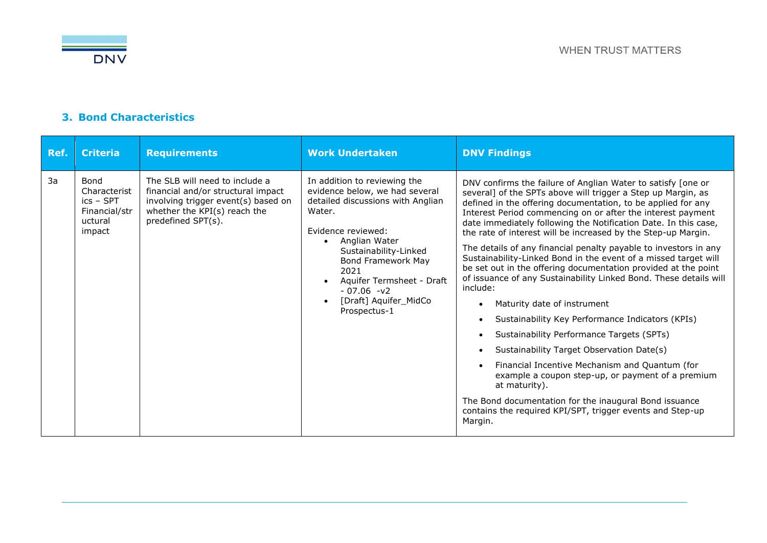

### **3. Bond Characteristics**

| Ref. | <b>Criteria</b>                                                                  | <b>Requirements</b>                                                                                                                                               | <b>Work Undertaken</b>                                                                                                                                                                                                                                                                            | <b>DNV Findings</b>                                                                                                                                                                                                                                                                                                                                                                                                                                                                                                                                                                                                                                                                                                                                                                                                                                                                                                                                                                                                                                                                                                                                                                  |
|------|----------------------------------------------------------------------------------|-------------------------------------------------------------------------------------------------------------------------------------------------------------------|---------------------------------------------------------------------------------------------------------------------------------------------------------------------------------------------------------------------------------------------------------------------------------------------------|--------------------------------------------------------------------------------------------------------------------------------------------------------------------------------------------------------------------------------------------------------------------------------------------------------------------------------------------------------------------------------------------------------------------------------------------------------------------------------------------------------------------------------------------------------------------------------------------------------------------------------------------------------------------------------------------------------------------------------------------------------------------------------------------------------------------------------------------------------------------------------------------------------------------------------------------------------------------------------------------------------------------------------------------------------------------------------------------------------------------------------------------------------------------------------------|
| 3a   | <b>Bond</b><br>Characterist<br>$ics - SPT$<br>Financial/str<br>uctural<br>impact | The SLB will need to include a<br>financial and/or structural impact<br>involving trigger event(s) based on<br>whether the KPI(s) reach the<br>predefined SPT(s). | In addition to reviewing the<br>evidence below, we had several<br>detailed discussions with Anglian<br>Water.<br>Evidence reviewed:<br>Anglian Water<br>Sustainability-Linked<br>Bond Framework May<br>2021<br>Aquifer Termsheet - Draft<br>$-07.06 -v2$<br>[Draft] Aquifer_MidCo<br>Prospectus-1 | DNV confirms the failure of Anglian Water to satisfy [one or<br>several] of the SPTs above will trigger a Step up Margin, as<br>defined in the offering documentation, to be applied for any<br>Interest Period commencing on or after the interest payment<br>date immediately following the Notification Date. In this case,<br>the rate of interest will be increased by the Step-up Margin.<br>The details of any financial penalty payable to investors in any<br>Sustainability-Linked Bond in the event of a missed target will<br>be set out in the offering documentation provided at the point<br>of issuance of any Sustainability Linked Bond. These details will<br>include:<br>Maturity date of instrument<br>$\bullet$<br>Sustainability Key Performance Indicators (KPIs)<br>$\bullet$<br>Sustainability Performance Targets (SPTs)<br>$\bullet$<br>Sustainability Target Observation Date(s)<br>$\bullet$<br>Financial Incentive Mechanism and Quantum (for<br>example a coupon step-up, or payment of a premium<br>at maturity).<br>The Bond documentation for the inaugural Bond issuance<br>contains the required KPI/SPT, trigger events and Step-up<br>Margin. |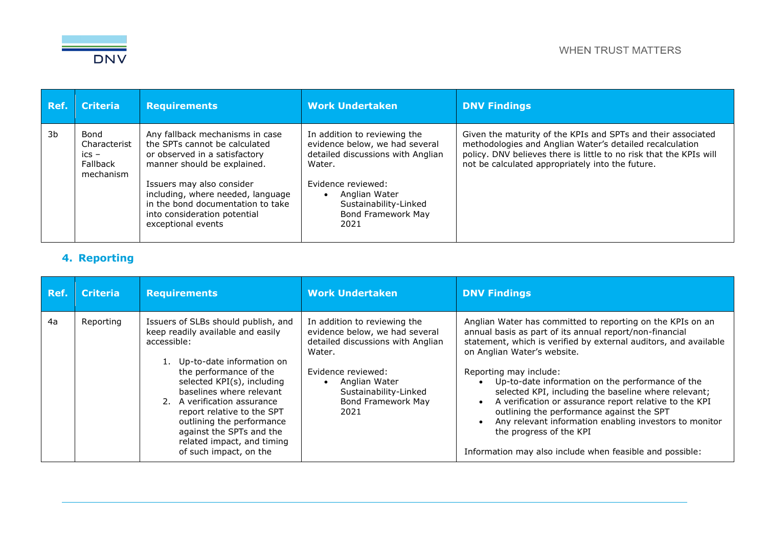

| Ref. | <b>Criteria</b>                                          | <b>Requirements</b>                                                                                                                                                                                                                                                                           | <b>Work Undertaken</b>                                                                                                                                                                                      | <b>DNV Findings</b>                                                                                                                                                                                                                                |
|------|----------------------------------------------------------|-----------------------------------------------------------------------------------------------------------------------------------------------------------------------------------------------------------------------------------------------------------------------------------------------|-------------------------------------------------------------------------------------------------------------------------------------------------------------------------------------------------------------|----------------------------------------------------------------------------------------------------------------------------------------------------------------------------------------------------------------------------------------------------|
| 3b   | Bond<br>Characterist<br>$ics -$<br>Fallback<br>mechanism | Any fallback mechanisms in case<br>the SPTs cannot be calculated<br>or observed in a satisfactory<br>manner should be explained.<br>Issuers may also consider<br>including, where needed, language<br>in the bond documentation to take<br>into consideration potential<br>exceptional events | In addition to reviewing the<br>evidence below, we had several<br>detailed discussions with Anglian<br>Water.<br>Evidence reviewed:<br>Anglian Water<br>Sustainability-Linked<br>Bond Framework May<br>2021 | Given the maturity of the KPIs and SPTs and their associated<br>methodologies and Anglian Water's detailed recalculation<br>policy. DNV believes there is little to no risk that the KPIs will<br>not be calculated appropriately into the future. |

## **4. Reporting**

| Ref. | <b>Criteria</b> | <b>Requirements</b>                                                                                                                                                                                                                                                                                                                                                                       | <b>Work Undertaken</b>                                                                                                                                                                                             | <b>DNV Findings</b>                                                                                                                                                                                                                                                                                                                                                                                                                                                                                                                                                                                                                 |
|------|-----------------|-------------------------------------------------------------------------------------------------------------------------------------------------------------------------------------------------------------------------------------------------------------------------------------------------------------------------------------------------------------------------------------------|--------------------------------------------------------------------------------------------------------------------------------------------------------------------------------------------------------------------|-------------------------------------------------------------------------------------------------------------------------------------------------------------------------------------------------------------------------------------------------------------------------------------------------------------------------------------------------------------------------------------------------------------------------------------------------------------------------------------------------------------------------------------------------------------------------------------------------------------------------------------|
| 4a   | Reporting       | Issuers of SLBs should publish, and<br>keep readily available and easily<br>accessible:<br>1. Up-to-date information on<br>the performance of the<br>selected KPI(s), including<br>baselines where relevant<br>2. A verification assurance<br>report relative to the SPT<br>outlining the performance<br>against the SPTs and the<br>related impact, and timing<br>of such impact, on the | In addition to reviewing the<br>evidence below, we had several<br>detailed discussions with Anglian<br>Water.<br>Evidence reviewed:<br>Anglian Water<br>Sustainability-Linked<br><b>Bond Framework May</b><br>2021 | Anglian Water has committed to reporting on the KPIs on an<br>annual basis as part of its annual report/non-financial<br>statement, which is verified by external auditors, and available<br>on Anglian Water's website.<br>Reporting may include:<br>Up-to-date information on the performance of the<br>$\bullet$<br>selected KPI, including the baseline where relevant;<br>A verification or assurance report relative to the KPI<br>outlining the performance against the SPT<br>Any relevant information enabling investors to monitor<br>the progress of the KPI<br>Information may also include when feasible and possible: |